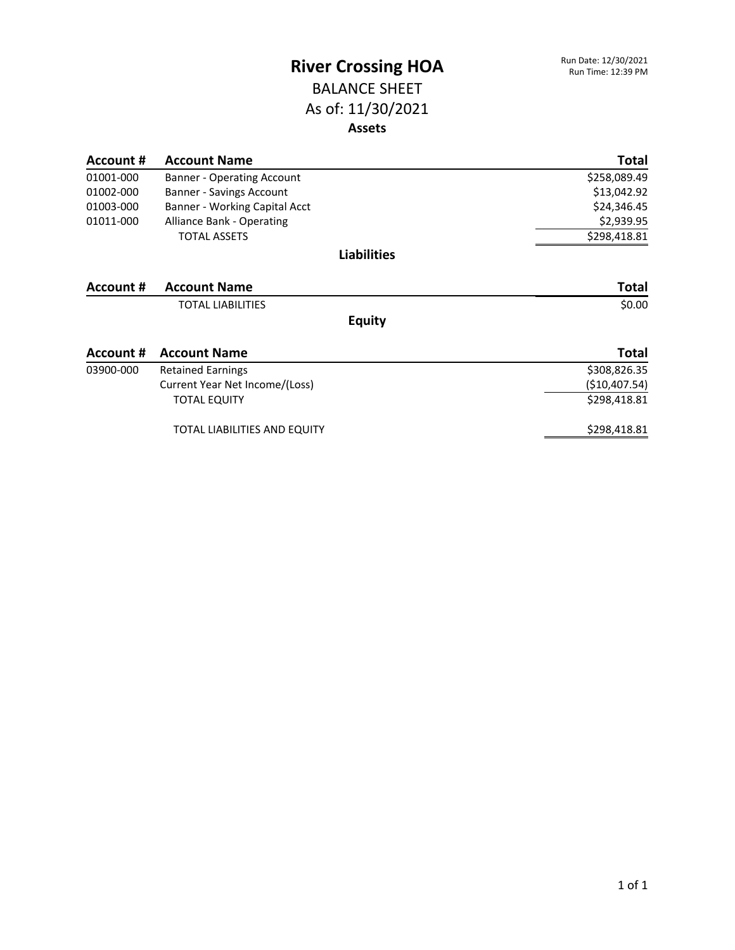#### BALANCE SHEET As of: 11/30/2021 **Assets**

| Account # | <b>Account Name</b>               | Total          |
|-----------|-----------------------------------|----------------|
| 01001-000 | <b>Banner - Operating Account</b> | \$258,089.49   |
| 01002-000 | Banner - Savings Account          | \$13,042.92    |
| 01003-000 | Banner - Working Capital Acct     | \$24,346.45    |
| 01011-000 | <b>Alliance Bank - Operating</b>  | \$2,939.95     |
|           | <b>TOTAL ASSETS</b>               | \$298,418.81   |
|           | <b>Liabilities</b>                |                |
| Account # | <b>Account Name</b>               | <b>Total</b>   |
|           | <b>TOTAL LIABILITIES</b>          | \$0.00         |
|           | <b>Equity</b>                     |                |
| Account # | <b>Account Name</b>               | Total          |
| 03900-000 | <b>Retained Earnings</b>          | \$308,826.35   |
|           | Current Year Net Income/(Loss)    | ( \$10,407.54) |
|           | <b>TOTAL EQUITY</b>               | \$298,418.81   |
|           | TOTAL LIABILITIES AND EQUITY      | \$298,418.81   |
|           |                                   |                |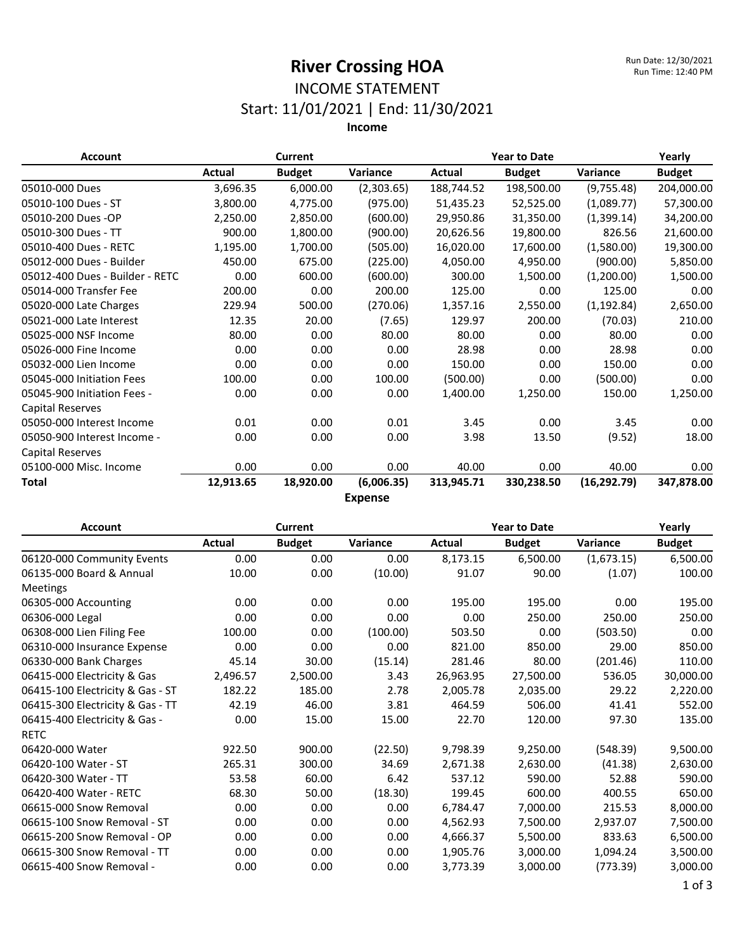### INCOME STATEMENT Start: 11/01/2021 | End: 11/30/2021

**Income**

| <b>Account</b>                  | <b>Current</b> |               |                | <b>Year to Date</b> |               |              | Yearly        |
|---------------------------------|----------------|---------------|----------------|---------------------|---------------|--------------|---------------|
|                                 | Actual         | <b>Budget</b> | Variance       | Actual              | <b>Budget</b> | Variance     | <b>Budget</b> |
| 05010-000 Dues                  | 3,696.35       | 6,000.00      | (2,303.65)     | 188,744.52          | 198,500.00    | (9,755.48)   | 204,000.00    |
| 05010-100 Dues - ST             | 3,800.00       | 4,775.00      | (975.00)       | 51,435.23           | 52,525.00     | (1,089.77)   | 57,300.00     |
| 05010-200 Dues -OP              | 2,250.00       | 2,850.00      | (600.00)       | 29,950.86           | 31,350.00     | (1,399.14)   | 34,200.00     |
| 05010-300 Dues - TT             | 900.00         | 1,800.00      | (900.00)       | 20,626.56           | 19,800.00     | 826.56       | 21,600.00     |
| 05010-400 Dues - RETC           | 1,195.00       | 1,700.00      | (505.00)       | 16,020.00           | 17,600.00     | (1,580.00)   | 19,300.00     |
| 05012-000 Dues - Builder        | 450.00         | 675.00        | (225.00)       | 4,050.00            | 4,950.00      | (900.00)     | 5,850.00      |
| 05012-400 Dues - Builder - RETC | 0.00           | 600.00        | (600.00)       | 300.00              | 1,500.00      | (1,200.00)   | 1,500.00      |
| 05014-000 Transfer Fee          | 200.00         | 0.00          | 200.00         | 125.00              | 0.00          | 125.00       | 0.00          |
| 05020-000 Late Charges          | 229.94         | 500.00        | (270.06)       | 1,357.16            | 2,550.00      | (1, 192.84)  | 2,650.00      |
| 05021-000 Late Interest         | 12.35          | 20.00         | (7.65)         | 129.97              | 200.00        | (70.03)      | 210.00        |
| 05025-000 NSF Income            | 80.00          | 0.00          | 80.00          | 80.00               | 0.00          | 80.00        | 0.00          |
| 05026-000 Fine Income           | 0.00           | 0.00          | 0.00           | 28.98               | 0.00          | 28.98        | 0.00          |
| 05032-000 Lien Income           | 0.00           | 0.00          | 0.00           | 150.00              | 0.00          | 150.00       | 0.00          |
| 05045-000 Initiation Fees       | 100.00         | 0.00          | 100.00         | (500.00)            | 0.00          | (500.00)     | 0.00          |
| 05045-900 Initiation Fees -     | 0.00           | 0.00          | 0.00           | 1,400.00            | 1,250.00      | 150.00       | 1,250.00      |
| Capital Reserves                |                |               |                |                     |               |              |               |
| 05050-000 Interest Income       | 0.01           | 0.00          | 0.01           | 3.45                | 0.00          | 3.45         | 0.00          |
| 05050-900 Interest Income -     | 0.00           | 0.00          | 0.00           | 3.98                | 13.50         | (9.52)       | 18.00         |
| Capital Reserves                |                |               |                |                     |               |              |               |
| 05100-000 Misc. Income          | 0.00           | 0.00          | 0.00           | 40.00               | 0.00          | 40.00        | 0.00          |
| <b>Total</b>                    | 12,913.65      | 18,920.00     | (6,006.35)     | 313,945.71          | 330,238.50    | (16, 292.79) | 347,878.00    |
|                                 |                |               | <b>Fynanca</b> |                     |               |              |               |

**Expense**

| <b>Account</b>                   |          | <b>Current</b> |          | <b>Year to Date</b> |               |            | Yearly        |
|----------------------------------|----------|----------------|----------|---------------------|---------------|------------|---------------|
|                                  | Actual   | <b>Budget</b>  | Variance | Actual              | <b>Budget</b> | Variance   | <b>Budget</b> |
| 06120-000 Community Events       | 0.00     | 0.00           | 0.00     | 8,173.15            | 6,500.00      | (1,673.15) | 6,500.00      |
| 06135-000 Board & Annual         | 10.00    | 0.00           | (10.00)  | 91.07               | 90.00         | (1.07)     | 100.00        |
| Meetings                         |          |                |          |                     |               |            |               |
| 06305-000 Accounting             | 0.00     | 0.00           | 0.00     | 195.00              | 195.00        | 0.00       | 195.00        |
| 06306-000 Legal                  | 0.00     | 0.00           | 0.00     | 0.00                | 250.00        | 250.00     | 250.00        |
| 06308-000 Lien Filing Fee        | 100.00   | 0.00           | (100.00) | 503.50              | 0.00          | (503.50)   | 0.00          |
| 06310-000 Insurance Expense      | 0.00     | 0.00           | 0.00     | 821.00              | 850.00        | 29.00      | 850.00        |
| 06330-000 Bank Charges           | 45.14    | 30.00          | (15.14)  | 281.46              | 80.00         | (201.46)   | 110.00        |
| 06415-000 Electricity & Gas      | 2,496.57 | 2,500.00       | 3.43     | 26,963.95           | 27,500.00     | 536.05     | 30,000.00     |
| 06415-100 Electricity & Gas - ST | 182.22   | 185.00         | 2.78     | 2,005.78            | 2,035.00      | 29.22      | 2,220.00      |
| 06415-300 Electricity & Gas - TT | 42.19    | 46.00          | 3.81     | 464.59              | 506.00        | 41.41      | 552.00        |
| 06415-400 Electricity & Gas -    | 0.00     | 15.00          | 15.00    | 22.70               | 120.00        | 97.30      | 135.00        |
| <b>RETC</b>                      |          |                |          |                     |               |            |               |
| 06420-000 Water                  | 922.50   | 900.00         | (22.50)  | 9,798.39            | 9,250.00      | (548.39)   | 9,500.00      |
| 06420-100 Water - ST             | 265.31   | 300.00         | 34.69    | 2,671.38            | 2,630.00      | (41.38)    | 2,630.00      |
| 06420-300 Water - TT             | 53.58    | 60.00          | 6.42     | 537.12              | 590.00        | 52.88      | 590.00        |
| 06420-400 Water - RETC           | 68.30    | 50.00          | (18.30)  | 199.45              | 600.00        | 400.55     | 650.00        |
| 06615-000 Snow Removal           | 0.00     | 0.00           | 0.00     | 6,784.47            | 7,000.00      | 215.53     | 8,000.00      |
| 06615-100 Snow Removal - ST      | 0.00     | 0.00           | 0.00     | 4,562.93            | 7,500.00      | 2,937.07   | 7,500.00      |
| 06615-200 Snow Removal - OP      | 0.00     | 0.00           | 0.00     | 4,666.37            | 5,500.00      | 833.63     | 6,500.00      |
| 06615-300 Snow Removal - TT      | 0.00     | 0.00           | 0.00     | 1,905.76            | 3,000.00      | 1,094.24   | 3,500.00      |
| 06615-400 Snow Removal -         | 0.00     | 0.00           | 0.00     | 3,773.39            | 3,000.00      | (773.39)   | 3,000.00      |

1 of 3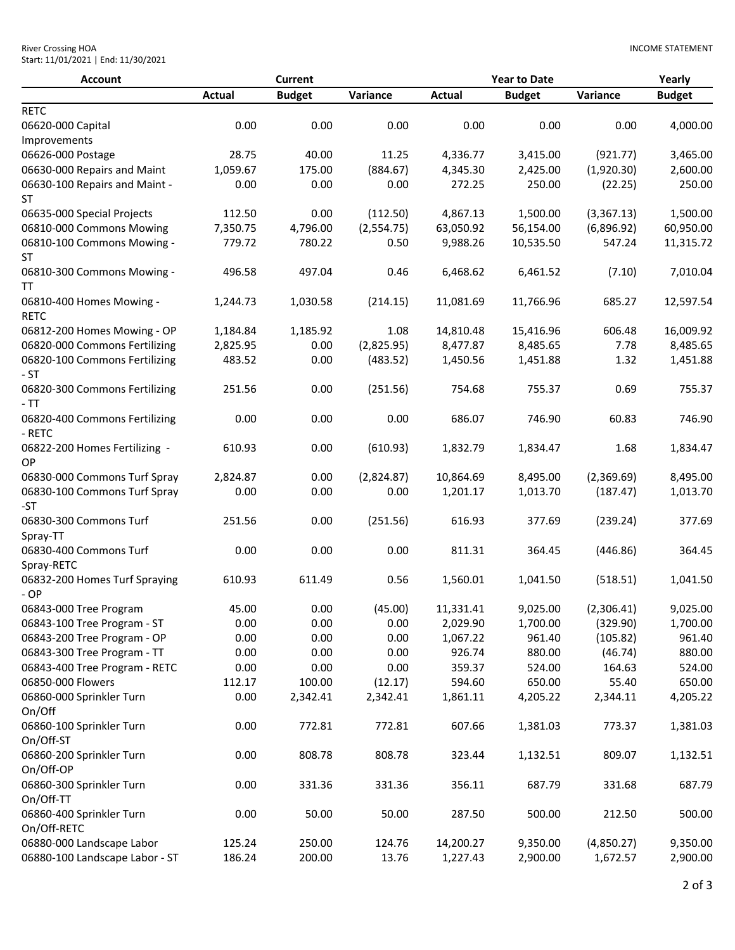| <b>River Crossing HOA</b>           |  |
|-------------------------------------|--|
| Start: 11/01/2021   End: 11/30/2021 |  |

| <b>Account</b>                                               |               | <b>Current</b> |              |                    | <b>Year to Date</b> |                     | Yearly           |
|--------------------------------------------------------------|---------------|----------------|--------------|--------------------|---------------------|---------------------|------------------|
|                                                              | <b>Actual</b> | <b>Budget</b>  | Variance     | <b>Actual</b>      | <b>Budget</b>       | Variance            | <b>Budget</b>    |
| <b>RETC</b>                                                  |               |                |              |                    |                     |                     |                  |
| 06620-000 Capital                                            | 0.00          | 0.00           | 0.00         | 0.00               | 0.00                | 0.00                | 4,000.00         |
| Improvements                                                 |               |                |              |                    |                     |                     |                  |
| 06626-000 Postage                                            | 28.75         | 40.00          | 11.25        | 4,336.77           | 3,415.00            | (921.77)            | 3,465.00         |
| 06630-000 Repairs and Maint                                  | 1,059.67      | 175.00         | (884.67)     | 4,345.30           | 2,425.00            | (1,920.30)          | 2,600.00         |
| 06630-100 Repairs and Maint -                                | 0.00          | 0.00           | 0.00         | 272.25             | 250.00              | (22.25)             | 250.00           |
| ST                                                           |               |                |              |                    |                     |                     |                  |
| 06635-000 Special Projects                                   | 112.50        | 0.00           | (112.50)     | 4,867.13           | 1,500.00            | (3,367.13)          | 1,500.00         |
| 06810-000 Commons Mowing                                     | 7,350.75      | 4,796.00       | (2,554.75)   | 63,050.92          | 56,154.00           | (6,896.92)          | 60,950.00        |
| 06810-100 Commons Mowing -<br><b>ST</b>                      | 779.72        | 780.22         | 0.50         | 9,988.26           | 10,535.50           | 547.24              | 11,315.72        |
| 06810-300 Commons Mowing -<br><b>TT</b>                      | 496.58        | 497.04         | 0.46         | 6,468.62           | 6,461.52            | (7.10)              | 7,010.04         |
| 06810-400 Homes Mowing -<br><b>RETC</b>                      | 1,244.73      | 1,030.58       | (214.15)     | 11,081.69          | 11,766.96           | 685.27              | 12,597.54        |
| 06812-200 Homes Mowing - OP                                  | 1,184.84      | 1,185.92       | 1.08         | 14,810.48          | 15,416.96           | 606.48              | 16,009.92        |
| 06820-000 Commons Fertilizing                                | 2,825.95      | 0.00           | (2,825.95)   | 8,477.87           | 8,485.65            | 7.78                | 8,485.65         |
| 06820-100 Commons Fertilizing<br>$-ST$                       | 483.52        | 0.00           | (483.52)     | 1,450.56           | 1,451.88            | 1.32                | 1,451.88         |
| 06820-300 Commons Fertilizing<br>$-TT$                       | 251.56        | 0.00           | (251.56)     | 754.68             | 755.37              | 0.69                | 755.37           |
| 06820-400 Commons Fertilizing<br>- RETC                      | 0.00          | 0.00           | 0.00         | 686.07             | 746.90              | 60.83               | 746.90           |
| 06822-200 Homes Fertilizing -<br>OP                          | 610.93        | 0.00           | (610.93)     | 1,832.79           | 1,834.47            | 1.68                | 1,834.47         |
| 06830-000 Commons Turf Spray                                 | 2,824.87      | 0.00           | (2,824.87)   | 10,864.69          | 8,495.00            | (2,369.69)          | 8,495.00         |
| 06830-100 Commons Turf Spray<br>-ST                          | 0.00          | 0.00           | 0.00         | 1,201.17           | 1,013.70            | (187.47)            | 1,013.70         |
| 06830-300 Commons Turf                                       | 251.56        | 0.00           | (251.56)     | 616.93             | 377.69              | (239.24)            | 377.69           |
| Spray-TT<br>06830-400 Commons Turf                           | 0.00          | 0.00           | 0.00         | 811.31             | 364.45              | (446.86)            | 364.45           |
| Spray-RETC<br>06832-200 Homes Turf Spraying                  | 610.93        | 611.49         | 0.56         | 1,560.01           | 1,041.50            | (518.51)            | 1,041.50         |
| $-OP$<br>06843-000 Tree Program                              | 45.00         |                |              | 11,331.41          | 9,025.00            |                     | 9,025.00         |
|                                                              |               | 0.00           | (45.00)      |                    | 1,700.00            | (2,306.41)          |                  |
| 06843-100 Tree Program - ST<br>06843-200 Tree Program - OP   | 0.00          | 0.00           | 0.00         | 2,029.90           |                     | (329.90)            | 1,700.00         |
|                                                              | 0.00<br>0.00  | 0.00<br>0.00   | 0.00<br>0.00 | 1,067.22<br>926.74 | 961.40<br>880.00    | (105.82)<br>(46.74) | 961.40<br>880.00 |
| 06843-300 Tree Program - TT<br>06843-400 Tree Program - RETC | 0.00          | 0.00           | 0.00         | 359.37             | 524.00              | 164.63              | 524.00           |
| 06850-000 Flowers                                            | 112.17        | 100.00         | (12.17)      | 594.60             | 650.00              | 55.40               | 650.00           |
| 06860-000 Sprinkler Turn                                     | 0.00          | 2,342.41       | 2,342.41     | 1,861.11           | 4,205.22            | 2,344.11            | 4,205.22         |
| On/Off                                                       |               |                |              |                    |                     |                     |                  |
| 06860-100 Sprinkler Turn                                     | 0.00          | 772.81         | 772.81       | 607.66             | 1,381.03            | 773.37              | 1,381.03         |
| On/Off-ST                                                    |               |                |              |                    |                     |                     |                  |
| 06860-200 Sprinkler Turn<br>On/Off-OP                        | 0.00          | 808.78         | 808.78       | 323.44             | 1,132.51            | 809.07              | 1,132.51         |
| 06860-300 Sprinkler Turn<br>On/Off-TT                        | 0.00          | 331.36         | 331.36       | 356.11             | 687.79              | 331.68              | 687.79           |
| 06860-400 Sprinkler Turn<br>On/Off-RETC                      | 0.00          | 50.00          | 50.00        | 287.50             | 500.00              | 212.50              | 500.00           |
| 06880-000 Landscape Labor                                    | 125.24        | 250.00         | 124.76       | 14,200.27          | 9,350.00            | (4,850.27)          | 9,350.00         |
| 06880-100 Landscape Labor - ST                               | 186.24        | 200.00         | 13.76        | 1,227.43           | 2,900.00            | 1,672.57            | 2,900.00         |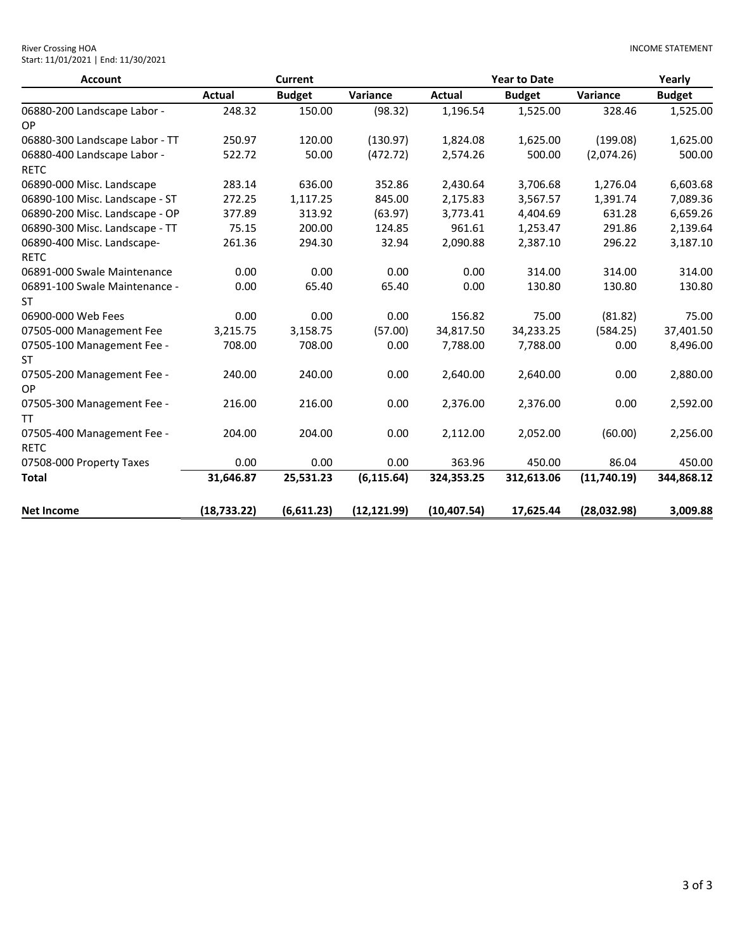| <b>Account</b>                 |               | Current       |              |               | <b>Year to Date</b> |             | Yearly        |
|--------------------------------|---------------|---------------|--------------|---------------|---------------------|-------------|---------------|
|                                | <b>Actual</b> | <b>Budget</b> | Variance     | <b>Actual</b> | <b>Budget</b>       | Variance    | <b>Budget</b> |
| 06880-200 Landscape Labor -    | 248.32        | 150.00        | (98.32)      | 1,196.54      | 1,525.00            | 328.46      | 1,525.00      |
| OP                             |               |               |              |               |                     |             |               |
| 06880-300 Landscape Labor - TT | 250.97        | 120.00        | (130.97)     | 1,824.08      | 1,625.00            | (199.08)    | 1,625.00      |
| 06880-400 Landscape Labor -    | 522.72        | 50.00         | (472.72)     | 2,574.26      | 500.00              | (2,074.26)  | 500.00        |
| <b>RETC</b>                    |               |               |              |               |                     |             |               |
| 06890-000 Misc. Landscape      | 283.14        | 636.00        | 352.86       | 2,430.64      | 3,706.68            | 1,276.04    | 6,603.68      |
| 06890-100 Misc. Landscape - ST | 272.25        | 1,117.25      | 845.00       | 2,175.83      | 3,567.57            | 1,391.74    | 7,089.36      |
| 06890-200 Misc. Landscape - OP | 377.89        | 313.92        | (63.97)      | 3,773.41      | 4,404.69            | 631.28      | 6,659.26      |
| 06890-300 Misc. Landscape - TT | 75.15         | 200.00        | 124.85       | 961.61        | 1,253.47            | 291.86      | 2,139.64      |
| 06890-400 Misc. Landscape-     | 261.36        | 294.30        | 32.94        | 2,090.88      | 2,387.10            | 296.22      | 3,187.10      |
| <b>RETC</b>                    |               |               |              |               |                     |             |               |
| 06891-000 Swale Maintenance    | 0.00          | 0.00          | 0.00         | 0.00          | 314.00              | 314.00      | 314.00        |
| 06891-100 Swale Maintenance -  | 0.00          | 65.40         | 65.40        | 0.00          | 130.80              | 130.80      | 130.80        |
| <b>ST</b>                      |               |               |              |               |                     |             |               |
| 06900-000 Web Fees             | 0.00          | 0.00          | 0.00         | 156.82        | 75.00               | (81.82)     | 75.00         |
| 07505-000 Management Fee       | 3,215.75      | 3,158.75      | (57.00)      | 34,817.50     | 34,233.25           | (584.25)    | 37,401.50     |
| 07505-100 Management Fee -     | 708.00        | 708.00        | 0.00         | 7,788.00      | 7,788.00            | 0.00        | 8,496.00      |
| <b>ST</b>                      |               |               |              |               |                     |             |               |
| 07505-200 Management Fee -     | 240.00        | 240.00        | 0.00         | 2,640.00      | 2,640.00            | 0.00        | 2,880.00      |
| OP                             |               |               |              |               |                     |             |               |
| 07505-300 Management Fee -     | 216.00        | 216.00        | 0.00         | 2,376.00      | 2,376.00            | 0.00        | 2,592.00      |
| TT                             |               |               |              |               |                     |             |               |
| 07505-400 Management Fee -     | 204.00        | 204.00        | 0.00         | 2,112.00      | 2,052.00            | (60.00)     | 2,256.00      |
| <b>RETC</b>                    |               |               |              |               |                     |             |               |
| 07508-000 Property Taxes       | 0.00          | 0.00          | 0.00         | 363.96        | 450.00              | 86.04       | 450.00        |
| <b>Total</b>                   | 31,646.87     | 25,531.23     | (6, 115.64)  | 324,353.25    | 312,613.06          | (11,740.19) | 344,868.12    |
|                                |               |               |              |               |                     |             |               |
| <b>Net Income</b>              | (18, 733.22)  | (6,611.23)    | (12, 121.99) | (10, 407.54)  | 17,625.44           | (28,032.98) | 3,009.88      |

INCOME STATEMENT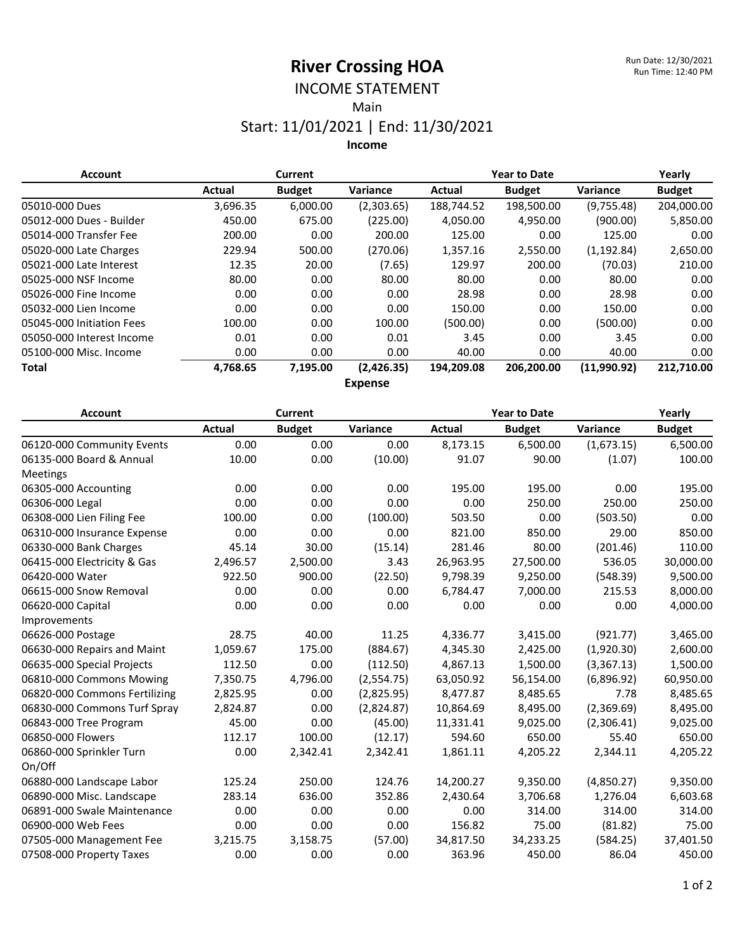# INCOME STATEMENT

Main

#### Start: 11/01/2021 | End: 11/30/2021

**Income**

| <b>Account</b>            |          | <b>Current</b> |                                   | <b>Year to Date</b> |               |                 | Yearly        |
|---------------------------|----------|----------------|-----------------------------------|---------------------|---------------|-----------------|---------------|
|                           | Actual   | <b>Budget</b>  | Variance                          | Actual              | <b>Budget</b> | <b>Variance</b> | <b>Budget</b> |
| 05010-000 Dues            | 3,696.35 | 6,000.00       | (2,303.65)                        | 188,744.52          | 198,500.00    | (9,755.48)      | 204,000.00    |
| 05012-000 Dues - Builder  | 450.00   | 675.00         | (225.00)                          | 4,050.00            | 4,950.00      | (900.00)        | 5,850.00      |
| 05014-000 Transfer Fee    | 200.00   | 0.00           | 200.00                            | 125.00              | 0.00          | 125.00          | 0.00          |
| 05020-000 Late Charges    | 229.94   | 500.00         | (270.06)                          | 1,357.16            | 2,550.00      | (1, 192.84)     | 2,650.00      |
| 05021-000 Late Interest   | 12.35    | 20.00          | (7.65)                            | 129.97              | 200.00        | (70.03)         | 210.00        |
| 05025-000 NSF Income      | 80.00    | 0.00           | 80.00                             | 80.00               | 0.00          | 80.00           | 0.00          |
| 05026-000 Fine Income     | 0.00     | 0.00           | 0.00                              | 28.98               | 0.00          | 28.98           | 0.00          |
| 05032-000 Lien Income     | 0.00     | 0.00           | 0.00                              | 150.00              | 0.00          | 150.00          | 0.00          |
| 05045-000 Initiation Fees | 100.00   | 0.00           | 100.00                            | (500.00)            | 0.00          | (500.00)        | 0.00          |
| 05050-000 Interest Income | 0.01     | 0.00           | 0.01                              | 3.45                | 0.00          | 3.45            | 0.00          |
| 05100-000 Misc. Income    | 0.00     | 0.00           | 0.00                              | 40.00               | 0.00          | 40.00           | 0.00          |
| Total                     | 4,768.65 | 7,195.00       | (2,426.35)                        | 194,209.08          | 206,200.00    | (11,990.92)     | 212,710.00    |
|                           |          |                | $F \sim \sim \sim \sim \sim \sim$ |                     |               |                 |               |

**Expense**

| <b>Account</b>                |               | <b>Current</b> |            | <b>Year to Date</b> |               |            | Yearly        |
|-------------------------------|---------------|----------------|------------|---------------------|---------------|------------|---------------|
|                               | <b>Actual</b> | <b>Budget</b>  | Variance   | <b>Actual</b>       | <b>Budget</b> | Variance   | <b>Budget</b> |
| 06120-000 Community Events    | 0.00          | 0.00           | 0.00       | 8,173.15            | 6,500.00      | (1,673.15) | 6,500.00      |
| 06135-000 Board & Annual      | 10.00         | 0.00           | (10.00)    | 91.07               | 90.00         | (1.07)     | 100.00        |
| Meetings                      |               |                |            |                     |               |            |               |
| 06305-000 Accounting          | 0.00          | 0.00           | 0.00       | 195.00              | 195.00        | 0.00       | 195.00        |
| 06306-000 Legal               | 0.00          | 0.00           | 0.00       | 0.00                | 250.00        | 250.00     | 250.00        |
| 06308-000 Lien Filing Fee     | 100.00        | 0.00           | (100.00)   | 503.50              | 0.00          | (503.50)   | 0.00          |
| 06310-000 Insurance Expense   | 0.00          | 0.00           | 0.00       | 821.00              | 850.00        | 29.00      | 850.00        |
| 06330-000 Bank Charges        | 45.14         | 30.00          | (15.14)    | 281.46              | 80.00         | (201.46)   | 110.00        |
| 06415-000 Electricity & Gas   | 2,496.57      | 2,500.00       | 3.43       | 26,963.95           | 27,500.00     | 536.05     | 30,000.00     |
| 06420-000 Water               | 922.50        | 900.00         | (22.50)    | 9,798.39            | 9,250.00      | (548.39)   | 9,500.00      |
| 06615-000 Snow Removal        | 0.00          | 0.00           | 0.00       | 6,784.47            | 7,000.00      | 215.53     | 8,000.00      |
| 06620-000 Capital             | 0.00          | 0.00           | 0.00       | 0.00                | 0.00          | 0.00       | 4,000.00      |
| Improvements                  |               |                |            |                     |               |            |               |
| 06626-000 Postage             | 28.75         | 40.00          | 11.25      | 4,336.77            | 3,415.00      | (921.77)   | 3,465.00      |
| 06630-000 Repairs and Maint   | 1,059.67      | 175.00         | (884.67)   | 4,345.30            | 2,425.00      | (1,920.30) | 2,600.00      |
| 06635-000 Special Projects    | 112.50        | 0.00           | (112.50)   | 4,867.13            | 1,500.00      | (3,367.13) | 1,500.00      |
| 06810-000 Commons Mowing      | 7,350.75      | 4,796.00       | (2,554.75) | 63,050.92           | 56,154.00     | (6,896.92) | 60,950.00     |
| 06820-000 Commons Fertilizing | 2,825.95      | 0.00           | (2,825.95) | 8,477.87            | 8,485.65      | 7.78       | 8,485.65      |
| 06830-000 Commons Turf Spray  | 2,824.87      | 0.00           | (2,824.87) | 10,864.69           | 8,495.00      | (2,369.69) | 8,495.00      |
| 06843-000 Tree Program        | 45.00         | 0.00           | (45.00)    | 11,331.41           | 9,025.00      | (2,306.41) | 9,025.00      |
| 06850-000 Flowers             | 112.17        | 100.00         | (12.17)    | 594.60              | 650.00        | 55.40      | 650.00        |
| 06860-000 Sprinkler Turn      | 0.00          | 2,342.41       | 2,342.41   | 1,861.11            | 4,205.22      | 2,344.11   | 4,205.22      |
| On/Off                        |               |                |            |                     |               |            |               |
| 06880-000 Landscape Labor     | 125.24        | 250.00         | 124.76     | 14,200.27           | 9,350.00      | (4,850.27) | 9,350.00      |
| 06890-000 Misc. Landscape     | 283.14        | 636.00         | 352.86     | 2,430.64            | 3,706.68      | 1,276.04   | 6,603.68      |
| 06891-000 Swale Maintenance   | 0.00          | 0.00           | 0.00       | 0.00                | 314.00        | 314.00     | 314.00        |
| 06900-000 Web Fees            | 0.00          | 0.00           | 0.00       | 156.82              | 75.00         | (81.82)    | 75.00         |
| 07505-000 Management Fee      | 3,215.75      | 3,158.75       | (57.00)    | 34,817.50           | 34,233.25     | (584.25)   | 37,401.50     |
| 07508-000 Property Taxes      | 0.00          | 0.00           | 0.00       | 363.96              | 450.00        | 86.04      | 450.00        |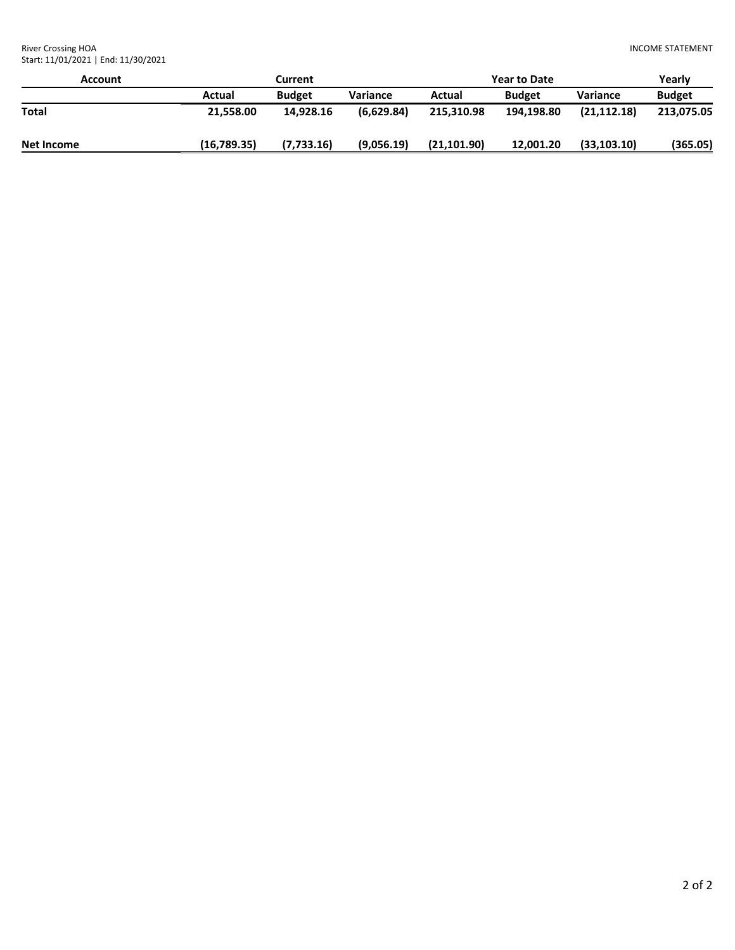River Crossing HOA Start: 11/01/2021 | End: 11/30/2021

| Account           | Current     |               |                 | <b>Year to Date</b> | Yearly        |                 |               |
|-------------------|-------------|---------------|-----------------|---------------------|---------------|-----------------|---------------|
|                   | Actual      | <b>Budget</b> | <b>Variance</b> | Actual              | <b>Budget</b> | <b>Variance</b> | <b>Budget</b> |
| <b>Total</b>      | 21.558.00   | 14.928.16     | (6,629.84)      | 215.310.98          | 194.198.80    | (21, 112.18)    | 213,075.05    |
| <b>Net Income</b> | (16,789.35) | (7,733.16)    | (9,056.19)      | (21, 101.90)        | 12,001.20     | (33, 103.10)    | (365.05)      |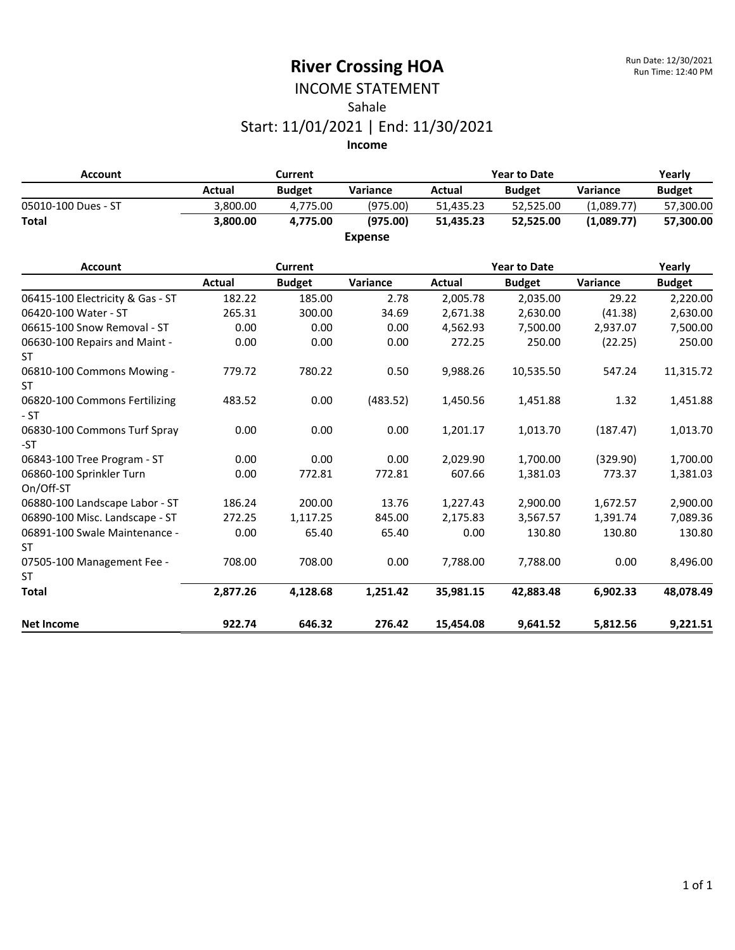#### INCOME STATEMENT Sahale Start: 11/01/2021 | End: 11/30/2021

| <b>Account</b>      |          | Current       |                |           | <b>Year to Date</b> |            |               |  |
|---------------------|----------|---------------|----------------|-----------|---------------------|------------|---------------|--|
|                     | Actual   | <b>Budget</b> | Variance       | Actual    | <b>Budget</b>       | Variance   | <b>Budget</b> |  |
| 05010-100 Dues - ST | 3.800.00 | 4.775.00      | (975.00)       | 51.435.23 | 52.525.00           | (1.089.77) | 57,300.00     |  |
| <b>Total</b>        | 3.800.00 | 4.775.00      | (975.00)       | 51.435.23 | 52.525.00           | (1.089.77) | 57.300.00     |  |
|                     |          |               | <b>Expense</b> |           |                     |            |               |  |

| <b>Account</b>                             |          | <b>Current</b> |          |           | <b>Year to Date</b> |          | Yearly        |  |  |
|--------------------------------------------|----------|----------------|----------|-----------|---------------------|----------|---------------|--|--|
|                                            | Actual   | <b>Budget</b>  | Variance | Actual    | <b>Budget</b>       | Variance | <b>Budget</b> |  |  |
| 06415-100 Electricity & Gas - ST           | 182.22   | 185.00         | 2.78     | 2,005.78  | 2,035.00            | 29.22    | 2,220.00      |  |  |
| 06420-100 Water - ST                       | 265.31   | 300.00         | 34.69    | 2,671.38  | 2,630.00            | (41.38)  | 2,630.00      |  |  |
| 06615-100 Snow Removal - ST                | 0.00     | 0.00           | 0.00     | 4,562.93  | 7,500.00            | 2,937.07 | 7,500.00      |  |  |
| 06630-100 Repairs and Maint -<br><b>ST</b> | 0.00     | 0.00           | 0.00     | 272.25    | 250.00              | (22.25)  | 250.00        |  |  |
| 06810-100 Commons Mowing -<br>ST.          | 779.72   | 780.22         | 0.50     | 9,988.26  | 10,535.50           | 547.24   | 11,315.72     |  |  |
| 06820-100 Commons Fertilizing<br>$-ST$     | 483.52   | 0.00           | (483.52) | 1,450.56  | 1,451.88            | 1.32     | 1,451.88      |  |  |
| 06830-100 Commons Turf Spray<br>-ST        | 0.00     | 0.00           | 0.00     | 1,201.17  | 1,013.70            | (187.47) | 1,013.70      |  |  |
| 06843-100 Tree Program - ST                | 0.00     | 0.00           | 0.00     | 2,029.90  | 1,700.00            | (329.90) | 1,700.00      |  |  |
| 06860-100 Sprinkler Turn<br>On/Off-ST      | 0.00     | 772.81         | 772.81   | 607.66    | 1,381.03            | 773.37   | 1,381.03      |  |  |
| 06880-100 Landscape Labor - ST             | 186.24   | 200.00         | 13.76    | 1,227.43  | 2,900.00            | 1,672.57 | 2,900.00      |  |  |
| 06890-100 Misc. Landscape - ST             | 272.25   | 1,117.25       | 845.00   | 2,175.83  | 3,567.57            | 1,391.74 | 7,089.36      |  |  |
| 06891-100 Swale Maintenance -<br>ST        | 0.00     | 65.40          | 65.40    | 0.00      | 130.80              | 130.80   | 130.80        |  |  |
| 07505-100 Management Fee -                 | 708.00   | 708.00         | 0.00     | 7,788.00  | 7,788.00            | 0.00     | 8,496.00      |  |  |
| ST                                         |          |                |          |           |                     |          |               |  |  |
| <b>Total</b>                               | 2,877.26 | 4,128.68       | 1,251.42 | 35,981.15 | 42,883.48           | 6,902.33 | 48,078.49     |  |  |
| <b>Net Income</b>                          | 922.74   | 646.32         | 276.42   | 15,454.08 | 9,641.52            | 5,812.56 | 9,221.51      |  |  |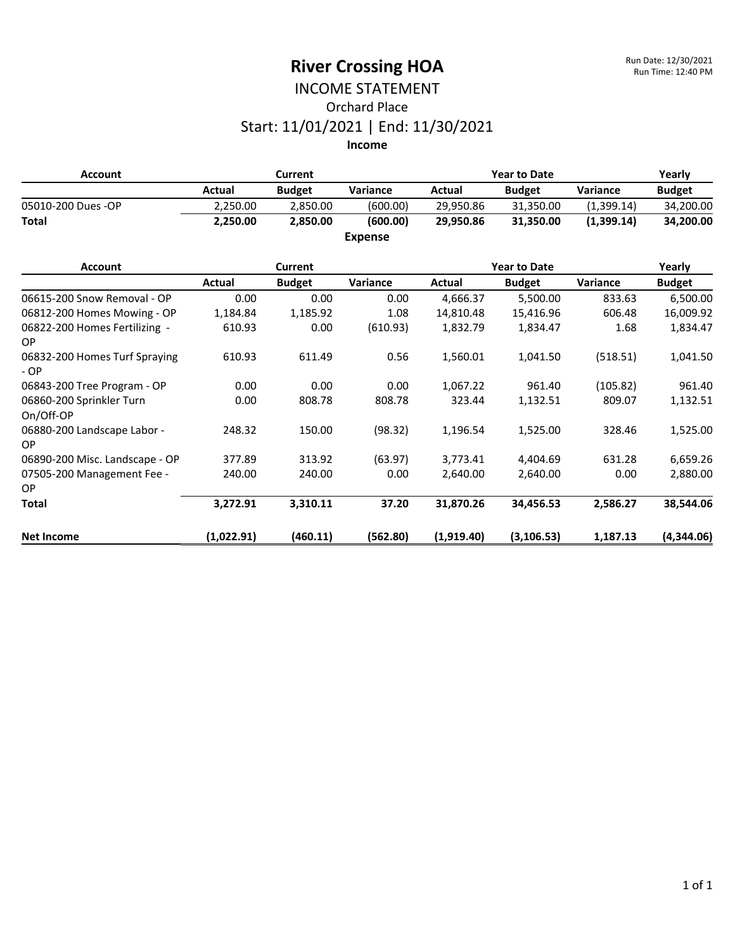# INCOME STATEMENT Orchard Place Start: 11/01/2021 | End: 11/30/2021

| <b>Account</b>                             |            | <b>Current</b> |                |            | <b>Year to Date</b> |            | Yearly        |
|--------------------------------------------|------------|----------------|----------------|------------|---------------------|------------|---------------|
|                                            | Actual     | <b>Budget</b>  | Variance       | Actual     | <b>Budget</b>       | Variance   | <b>Budget</b> |
| 05010-200 Dues -OP                         | 2,250.00   | 2,850.00       | (600.00)       | 29,950.86  | 31,350.00           | (1,399.14) | 34,200.00     |
| <b>Total</b>                               | 2,250.00   | 2,850.00       | (600.00)       | 29,950.86  | 31,350.00           | (1,399.14) | 34,200.00     |
|                                            |            |                | <b>Expense</b> |            |                     |            |               |
| <b>Account</b>                             |            | <b>Current</b> |                |            | <b>Year to Date</b> |            | Yearly        |
|                                            | Actual     | <b>Budget</b>  | Variance       | Actual     | <b>Budget</b>       | Variance   | <b>Budget</b> |
| 06615-200 Snow Removal - OP                | 0.00       | 0.00           | 0.00           | 4,666.37   | 5,500.00            | 833.63     | 6,500.00      |
| 06812-200 Homes Mowing - OP                | 1,184.84   | 1,185.92       | 1.08           | 14,810.48  | 15,416.96           | 606.48     | 16,009.92     |
| 06822-200 Homes Fertilizing -<br><b>OP</b> | 610.93     | 0.00           | (610.93)       | 1,832.79   | 1,834.47            | 1.68       | 1,834.47      |
| 06832-200 Homes Turf Spraying<br>$-OP$     | 610.93     | 611.49         | 0.56           | 1,560.01   | 1,041.50            | (518.51)   | 1,041.50      |
| 06843-200 Tree Program - OP                | 0.00       | 0.00           | 0.00           | 1,067.22   | 961.40              | (105.82)   | 961.40        |
| 06860-200 Sprinkler Turn<br>On/Off-OP      | 0.00       | 808.78         | 808.78         | 323.44     | 1,132.51            | 809.07     | 1,132.51      |
| 06880-200 Landscape Labor -<br><b>OP</b>   | 248.32     | 150.00         | (98.32)        | 1,196.54   | 1,525.00            | 328.46     | 1,525.00      |
| 06890-200 Misc. Landscape - OP             | 377.89     | 313.92         | (63.97)        | 3,773.41   | 4,404.69            | 631.28     | 6,659.26      |
| 07505-200 Management Fee -<br><b>OP</b>    | 240.00     | 240.00         | 0.00           | 2,640.00   | 2,640.00            | 0.00       | 2,880.00      |
| <b>Total</b>                               | 3,272.91   | 3,310.11       | 37.20          | 31,870.26  | 34,456.53           | 2,586.27   | 38,544.06     |
| <b>Net Income</b>                          | (1,022.91) | (460.11)       | (562.80)       | (1,919.40) | (3, 106.53)         | 1,187.13   | (4,344.06)    |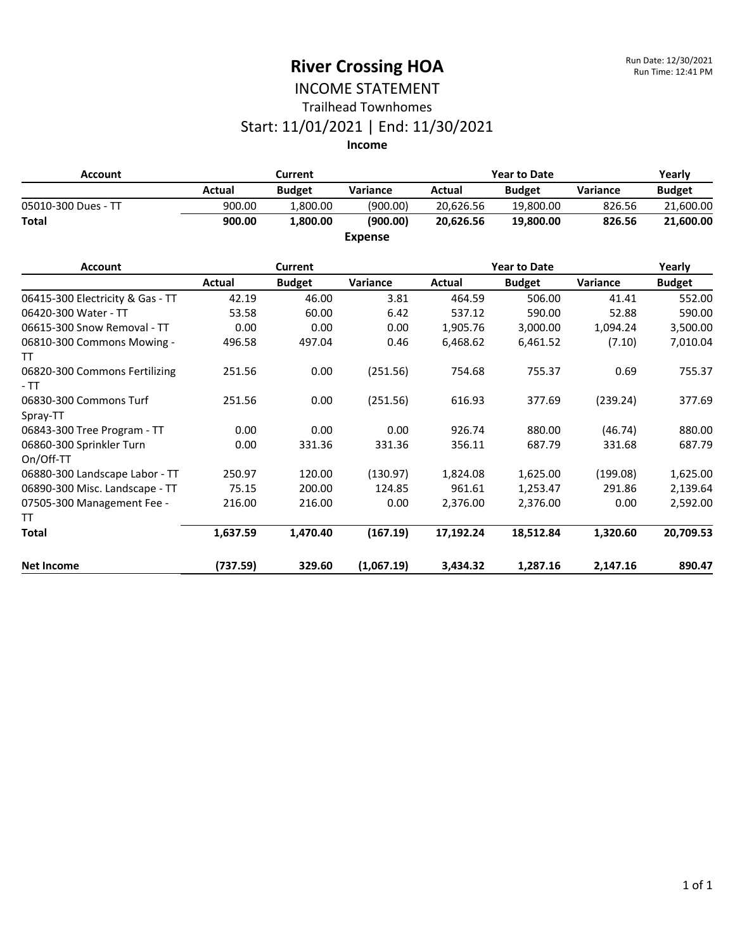#### INCOME STATEMENT Trailhead Townhomes

## Start: 11/01/2021 | End: 11/30/2021

| <b>Account</b>                          | <b>Current</b> |                |                | <b>Year to Date</b> |                     |          | Yearly        |
|-----------------------------------------|----------------|----------------|----------------|---------------------|---------------------|----------|---------------|
|                                         | Actual         | <b>Budget</b>  | Variance       | Actual              | <b>Budget</b>       | Variance | <b>Budget</b> |
| 05010-300 Dues - TT                     | 900.00         | 1,800.00       | (900.00)       | 20,626.56           | 19,800.00           | 826.56   | 21,600.00     |
| <b>Total</b>                            | 900.00         | 1,800.00       | (900.00)       | 20.626.56           | 19,800.00           | 826.56   | 21,600.00     |
|                                         |                |                | <b>Expense</b> |                     |                     |          |               |
| <b>Account</b>                          |                | <b>Current</b> |                |                     | <b>Year to Date</b> |          | Yearly        |
|                                         | Actual         | <b>Budget</b>  | Variance       | Actual              | <b>Budget</b>       | Variance | <b>Budget</b> |
| 06415-300 Electricity & Gas - TT        | 42.19          | 46.00          | 3.81           | 464.59              | 506.00              | 41.41    | 552.00        |
| 06420-300 Water - TT                    | 53.58          | 60.00          | 6.42           | 537.12              | 590.00              | 52.88    | 590.00        |
| 06615-300 Snow Removal - TT             | 0.00           | 0.00           | 0.00           | 1,905.76            | 3,000.00            | 1,094.24 | 3,500.00      |
| 06810-300 Commons Mowing -              | 496.58         | 497.04         | 0.46           | 6,468.62            | 6,461.52            | (7.10)   | 7,010.04      |
| TΤ                                      |                |                |                |                     |                     |          |               |
| 06820-300 Commons Fertilizing<br>$-TT$  | 251.56         | 0.00           | (251.56)       | 754.68              | 755.37              | 0.69     | 755.37        |
| 06830-300 Commons Turf<br>Spray-TT      | 251.56         | 0.00           | (251.56)       | 616.93              | 377.69              | (239.24) | 377.69        |
| 06843-300 Tree Program - TT             | 0.00           | 0.00           | 0.00           | 926.74              | 880.00              | (46.74)  | 880.00        |
| 06860-300 Sprinkler Turn<br>On/Off-TT   | 0.00           | 331.36         | 331.36         | 356.11              | 687.79              | 331.68   | 687.79        |
| 06880-300 Landscape Labor - TT          | 250.97         | 120.00         | (130.97)       | 1,824.08            | 1,625.00            | (199.08) | 1,625.00      |
| 06890-300 Misc. Landscape - TT          | 75.15          | 200.00         | 124.85         | 961.61              | 1,253.47            | 291.86   | 2,139.64      |
| 07505-300 Management Fee -<br><b>TT</b> | 216.00         | 216.00         | 0.00           | 2,376.00            | 2,376.00            | 0.00     | 2,592.00      |
| <b>Total</b>                            | 1,637.59       | 1,470.40       | (167.19)       | 17,192.24           | 18,512.84           | 1,320.60 | 20,709.53     |
| <b>Net Income</b>                       | (737.59)       | 329.60         | (1,067.19)     | 3,434.32            | 1,287.16            | 2,147.16 | 890.47        |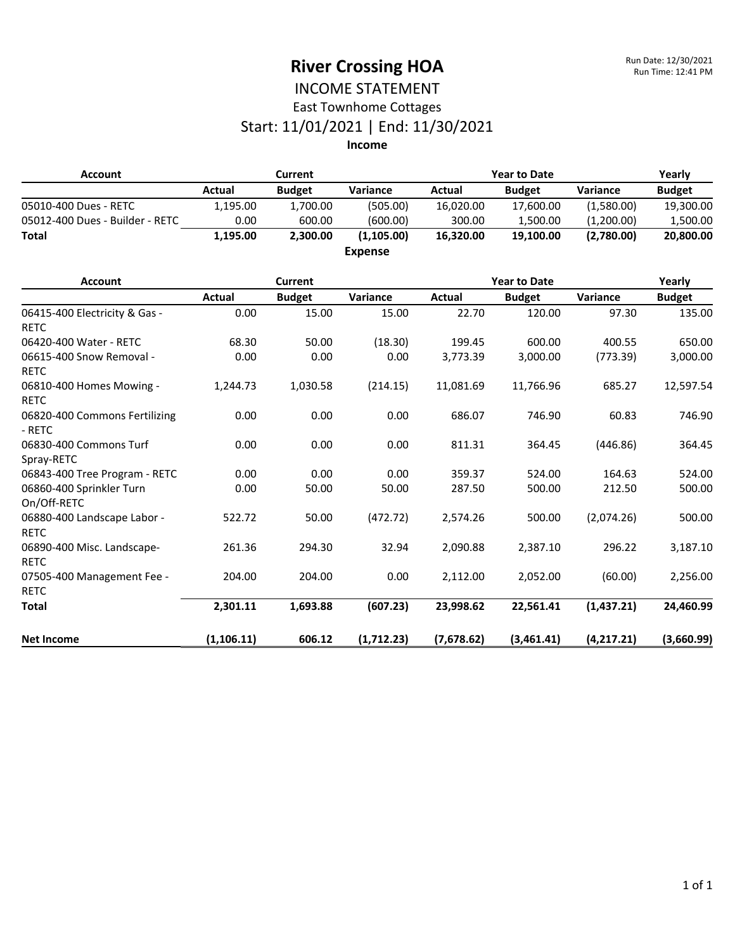#### INCOME STATEMENT East Townhome Cottages

### Start: 11/01/2021 | End: 11/30/2021

| <b>Account</b>                               | <b>Current</b> |                |                | <b>Year to Date</b> |                     |            | Yearly        |
|----------------------------------------------|----------------|----------------|----------------|---------------------|---------------------|------------|---------------|
|                                              | Actual         | <b>Budget</b>  | Variance       | Actual              | <b>Budget</b>       | Variance   | <b>Budget</b> |
| 05010-400 Dues - RETC                        | 1,195.00       | 1,700.00       | (505.00)       | 16,020.00           | 17,600.00           | (1,580.00) | 19,300.00     |
| 05012-400 Dues - Builder - RETC              | 0.00           | 600.00         | (600.00)       | 300.00              | 1,500.00            | (1,200.00) | 1,500.00      |
| <b>Total</b>                                 | 1,195.00       | 2,300.00       | (1, 105.00)    | 16,320.00           | 19,100.00           | (2,780.00) | 20,800.00     |
|                                              |                |                | <b>Expense</b> |                     |                     |            |               |
| <b>Account</b>                               |                | <b>Current</b> |                |                     | <b>Year to Date</b> |            | Yearly        |
|                                              | Actual         | <b>Budget</b>  | Variance       | <b>Actual</b>       | <b>Budget</b>       | Variance   | <b>Budget</b> |
| 06415-400 Electricity & Gas -<br><b>RETC</b> | 0.00           | 15.00          | 15.00          | 22.70               | 120.00              | 97.30      | 135.00        |
| 06420-400 Water - RETC                       | 68.30          | 50.00          | (18.30)        | 199.45              | 600.00              | 400.55     | 650.00        |
| 06615-400 Snow Removal -<br><b>RETC</b>      | 0.00           | 0.00           | 0.00           | 3,773.39            | 3,000.00            | (773.39)   | 3,000.00      |
| 06810-400 Homes Mowing -<br><b>RETC</b>      | 1,244.73       | 1,030.58       | (214.15)       | 11,081.69           | 11,766.96           | 685.27     | 12,597.54     |
| 06820-400 Commons Fertilizing<br>- RETC      | 0.00           | 0.00           | 0.00           | 686.07              | 746.90              | 60.83      | 746.90        |
| 06830-400 Commons Turf<br>Spray-RETC         | 0.00           | 0.00           | 0.00           | 811.31              | 364.45              | (446.86)   | 364.45        |
| 06843-400 Tree Program - RETC                | 0.00           | 0.00           | 0.00           | 359.37              | 524.00              | 164.63     | 524.00        |
| 06860-400 Sprinkler Turn<br>On/Off-RETC      | 0.00           | 50.00          | 50.00          | 287.50              | 500.00              | 212.50     | 500.00        |
| 06880-400 Landscape Labor -<br><b>RETC</b>   | 522.72         | 50.00          | (472.72)       | 2,574.26            | 500.00              | (2,074.26) | 500.00        |
| 06890-400 Misc. Landscape-<br><b>RETC</b>    | 261.36         | 294.30         | 32.94          | 2,090.88            | 2,387.10            | 296.22     | 3,187.10      |
| 07505-400 Management Fee -<br><b>RETC</b>    | 204.00         | 204.00         | 0.00           | 2,112.00            | 2,052.00            | (60.00)    | 2,256.00      |
| <b>Total</b>                                 | 2,301.11       | 1,693.88       | (607.23)       | 23,998.62           | 22,561.41           | (1,437.21) | 24,460.99     |
| <b>Net Income</b>                            | (1, 106.11)    | 606.12         | (1,712.23)     | (7,678.62)          | (3,461.41)          | (4,217.21) | (3,660.99)    |